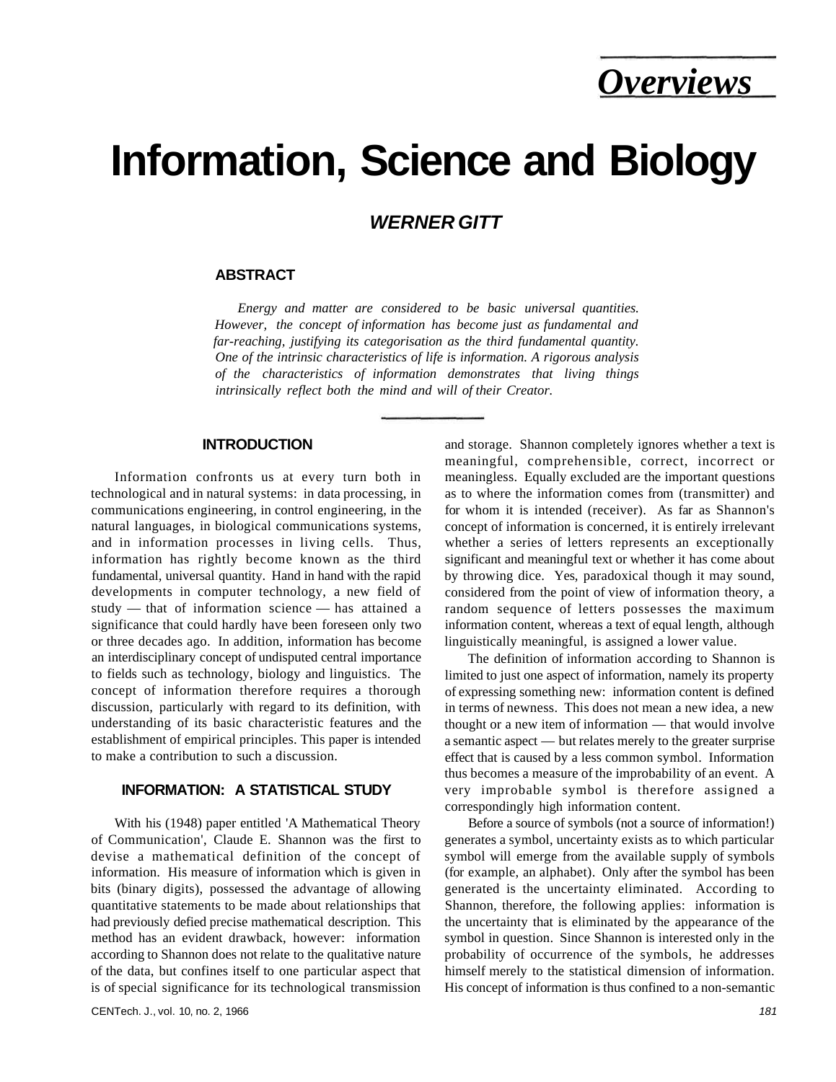*Overviews* 

# **Information, Science and Biology**

**WERNER GITT** 

# **ABSTRACT**

*Energy and matter are considered to be basic universal quantities. However, the concept of information has become just as fundamental and far-reaching, justifying its categorisation as the third fundamental quantity. One of the intrinsic characteristics of life is information. A rigorous analysis of the characteristics of information demonstrates that living things intrinsically reflect both the mind and will of their Creator.* 

#### **INTRODUCTION**

Information confronts us at every turn both in technological and in natural systems: in data processing, in communications engineering, in control engineering, in the natural languages, in biological communications systems, and in information processes in living cells. Thus, information has rightly become known as the third fundamental, universal quantity. Hand in hand with the rapid developments in computer technology, a new field of study — that of information science — has attained a significance that could hardly have been foreseen only two or three decades ago. In addition, information has become an interdisciplinary concept of undisputed central importance to fields such as technology, biology and linguistics. The concept of information therefore requires a thorough discussion, particularly with regard to its definition, with understanding of its basic characteristic features and the establishment of empirical principles. This paper is intended to make a contribution to such a discussion.

## **INFORMATION: A STATISTICAL STUDY**

With his (1948) paper entitled 'A Mathematical Theory of Communication', Claude E. Shannon was the first to devise a mathematical definition of the concept of information. His measure of information which is given in bits (binary digits), possessed the advantage of allowing quantitative statements to be made about relationships that had previously defied precise mathematical description. This method has an evident drawback, however: information according to Shannon does not relate to the qualitative nature of the data, but confines itself to one particular aspect that is of special significance for its technological transmission and storage. Shannon completely ignores whether a text is meaningful, comprehensible, correct, incorrect or meaningless. Equally excluded are the important questions as to where the information comes from (transmitter) and for whom it is intended (receiver). As far as Shannon's concept of information is concerned, it is entirely irrelevant whether a series of letters represents an exceptionally significant and meaningful text or whether it has come about by throwing dice. Yes, paradoxical though it may sound, considered from the point of view of information theory, a random sequence of letters possesses the maximum information content, whereas a text of equal length, although linguistically meaningful, is assigned a lower value.

The definition of information according to Shannon is limited to just one aspect of information, namely its property of expressing something new: information content is defined in terms of newness. This does not mean a new idea, a new thought or a new item of information — that would involve a semantic aspect — but relates merely to the greater surprise effect that is caused by a less common symbol. Information thus becomes a measure of the improbability of an event. A very improbable symbol is therefore assigned a correspondingly high information content.

Before a source of symbols (not a source of information!) generates a symbol, uncertainty exists as to which particular symbol will emerge from the available supply of symbols (for example, an alphabet). Only after the symbol has been generated is the uncertainty eliminated. According to Shannon, therefore, the following applies: information is the uncertainty that is eliminated by the appearance of the symbol in question. Since Shannon is interested only in the probability of occurrence of the symbols, he addresses himself merely to the statistical dimension of information. His concept of information is thus confined to a non-semantic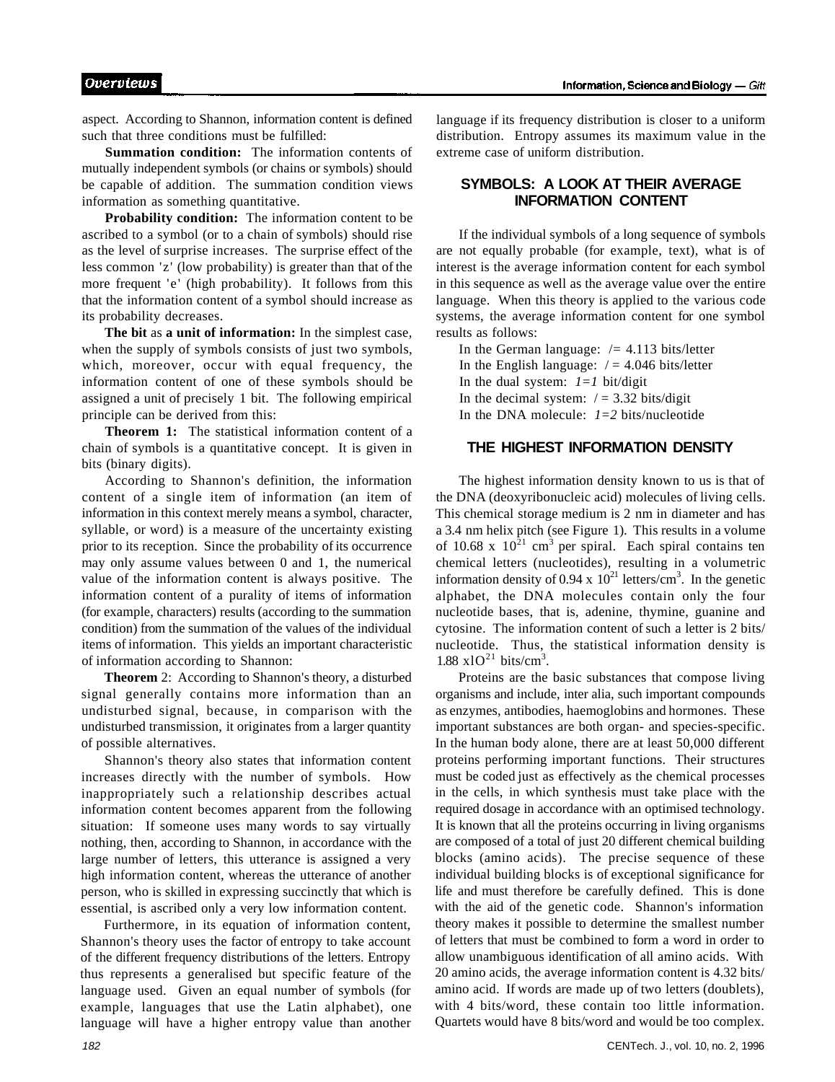aspect. According to Shannon, information content is defined such that three conditions must be fulfilled:

**Summation condition:** The information contents of mutually independent symbols (or chains or symbols) should be capable of addition. The summation condition views information as something quantitative.

**Probability condition:** The information content to be ascribed to a symbol (or to a chain of symbols) should rise as the level of surprise increases. The surprise effect of the less common 'z' (low probability) is greater than that of the more frequent 'e' (high probability). It follows from this that the information content of a symbol should increase as its probability decreases.

**The bit** as **a unit of information:** In the simplest case, when the supply of symbols consists of just two symbols, which, moreover, occur with equal frequency, the information content of one of these symbols should be assigned a unit of precisely 1 bit. The following empirical principle can be derived from this:

**Theorem 1:** The statistical information content of a chain of symbols is a quantitative concept. It is given in bits (binary digits).

According to Shannon's definition, the information content of a single item of information (an item of information in this context merely means a symbol, character, syllable, or word) is a measure of the uncertainty existing prior to its reception. Since the probability of its occurrence may only assume values between 0 and 1, the numerical value of the information content is always positive. The information content of a purality of items of information (for example, characters) results (according to the summation condition) from the summation of the values of the individual items of information. This yields an important characteristic of information according to Shannon:

**Theorem** 2: According to Shannon's theory, a disturbed signal generally contains more information than an undisturbed signal, because, in comparison with the undisturbed transmission, it originates from a larger quantity of possible alternatives.

Shannon's theory also states that information content increases directly with the number of symbols. How inappropriately such a relationship describes actual information content becomes apparent from the following situation: If someone uses many words to say virtually nothing, then, according to Shannon, in accordance with the large number of letters, this utterance is assigned a very high information content, whereas the utterance of another person, who is skilled in expressing succinctly that which is essential, is ascribed only a very low information content.

Furthermore, in its equation of information content, Shannon's theory uses the factor of entropy to take account of the different frequency distributions of the letters. Entropy thus represents a generalised but specific feature of the language used. Given an equal number of symbols (for example, languages that use the Latin alphabet), one language will have a higher entropy value than another language if its frequency distribution is closer to a uniform distribution. Entropy assumes its maximum value in the extreme case of uniform distribution.

# **SYMBOLS: A LOOK AT THEIR AVERAGE INFORMATION CONTENT**

If the individual symbols of a long sequence of symbols are not equally probable (for example, text), what is of interest is the average information content for each symbol in this sequence as well as the average value over the entire language. When this theory is applied to the various code systems, the average information content for one symbol results as follows:

In the German language:  $/= 4.113$  bits/letter In the English language:  $/ = 4.046$  bits/letter In the dual system:  $l=1$  bit/digit In the decimal system:  $/ = 3.32$  bits/digit In the DNA molecule: *1=2* bits/nucleotide

## **THE HIGHEST INFORMATION DENSITY**

The highest information density known to us is that of the DNA (deoxyribonucleic acid) molecules of living cells. This chemical storage medium is 2 nm in diameter and has a 3.4 nm helix pitch (see Figure 1). This results in a volume of 10.68 x  $10^{21}$  cm<sup>3</sup> per spiral. Each spiral contains ten chemical letters (nucleotides), resulting in a volumetric information density of 0.94 x  $10^{21}$  letters/cm<sup>3</sup>. In the genetic alphabet, the DNA molecules contain only the four nucleotide bases, that is, adenine, thymine, guanine and cytosine. The information content of such a letter is 2 bits/ nucleotide. Thus, the statistical information density is 1.88  $x10^{21}$  bits/cm<sup>3</sup>.

Proteins are the basic substances that compose living organisms and include, inter alia, such important compounds as enzymes, antibodies, haemoglobins and hormones. These important substances are both organ- and species-specific. In the human body alone, there are at least 50,000 different proteins performing important functions. Their structures must be coded just as effectively as the chemical processes in the cells, in which synthesis must take place with the required dosage in accordance with an optimised technology. It is known that all the proteins occurring in living organisms are composed of a total of just 20 different chemical building blocks (amino acids). The precise sequence of these individual building blocks is of exceptional significance for life and must therefore be carefully defined. This is done with the aid of the genetic code. Shannon's information theory makes it possible to determine the smallest number of letters that must be combined to form a word in order to allow unambiguous identification of all amino acids. With 20 amino acids, the average information content is 4.32 bits/ amino acid. If words are made up of two letters (doublets), with 4 bits/word, these contain too little information. Quartets would have 8 bits/word and would be too complex.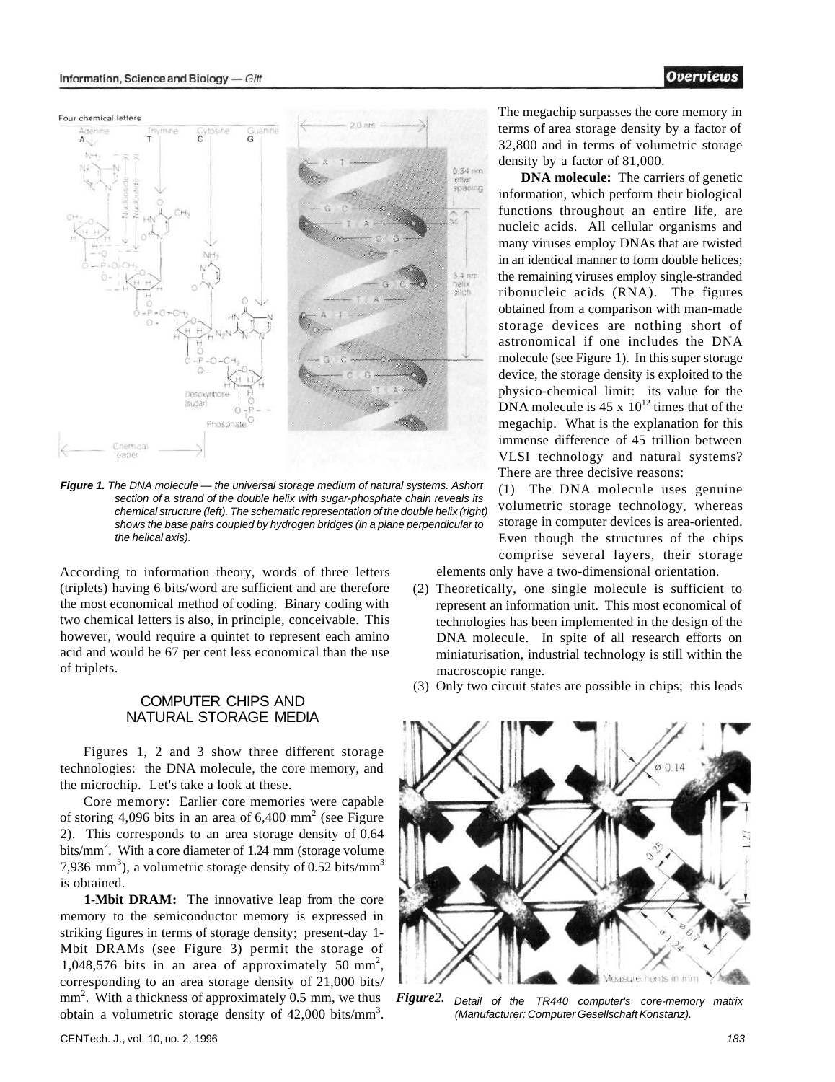

**Figure 1.** The DNA molecule — the universal storage medium of natural systems. Ashort section of a strand of the double helix with sugar-phosphate chain reveals its chemical structure (left). The schematic representation of the double helix (right) shows the base pairs coupled by hydrogen bridges (in a plane perpendicular to the helical axis).

According to information theory, words of three letters (triplets) having 6 bits/word are sufficient and are therefore the most economical method of coding. Binary coding with two chemical letters is also, in principle, conceivable. This however, would require a quintet to represent each amino acid and would be 67 per cent less economical than the use of triplets.

## COMPUTER CHIPS AND NATURAL STORAGE MEDIA

Figures 1, 2 and 3 show three different storage technologies: the DNA molecule, the core memory, and the microchip. Let's take a look at these.

Core memory: Earlier core memories were capable of storing 4,096 bits in an area of  $6,400$  mm<sup>2</sup> (see Figure 2). This corresponds to an area storage density of 0.64 bits/mm<sup>2</sup>. With a core diameter of 1.24 mm (storage volume 7,936 mm<sup>3</sup>), a volumetric storage density of 0.52 bits/mm<sup>3</sup> is obtained.

**1-Mbit DRAM:** The innovative leap from the core memory to the semiconductor memory is expressed in striking figures in terms of storage density; present-day 1- Mbit DRAMs (see Figure 3) permit the storage of 1,048,576 bits in an area of approximately 50 mm<sup>2</sup>, corresponding to an area storage density of 21,000 bits/ mm<sup>2</sup>. With a thickness of approximately 0.5 mm, we thus *Figure2*. obtain a volumetric storage density of  $42,000$  bits/mm<sup>3</sup>.

The megachip surpasses the core memory in terms of area storage density by a factor of 32,800 and in terms of volumetric storage density by a factor of 81,000.

**DNA molecule:** The carriers of genetic information, which perform their biological functions throughout an entire life, are nucleic acids. All cellular organisms and many viruses employ DNAs that are twisted in an identical manner to form double helices; the remaining viruses employ single-stranded ribonucleic acids (RNA). The figures obtained from a comparison with man-made storage devices are nothing short of astronomical if one includes the DNA molecule (see Figure 1). In this super storage device, the storage density is exploited to the physico-chemical limit: its value for the DNA molecule is  $45 \times 10^{12}$  times that of the megachip. What is the explanation for this immense difference of 45 trillion between VLSI technology and natural systems? There are three decisive reasons:

(1) The DNA molecule uses genuine volumetric storage technology, whereas storage in computer devices is area-oriented. Even though the structures of the chips comprise several layers, their storage elements only have a two-dimensional orientation.

- (2) Theoretically, one single molecule is sufficient to represent an information unit. This most economical of technologies has been implemented in the design of the DNA molecule. In spite of all research efforts on miniaturisation, industrial technology is still within the macroscopic range.
- (3) Only two circuit states are possible in chips; this leads



Detail of the TR440 computer's core-memory matrix (Manufacturer: Computer Gesellschaft Konstanz).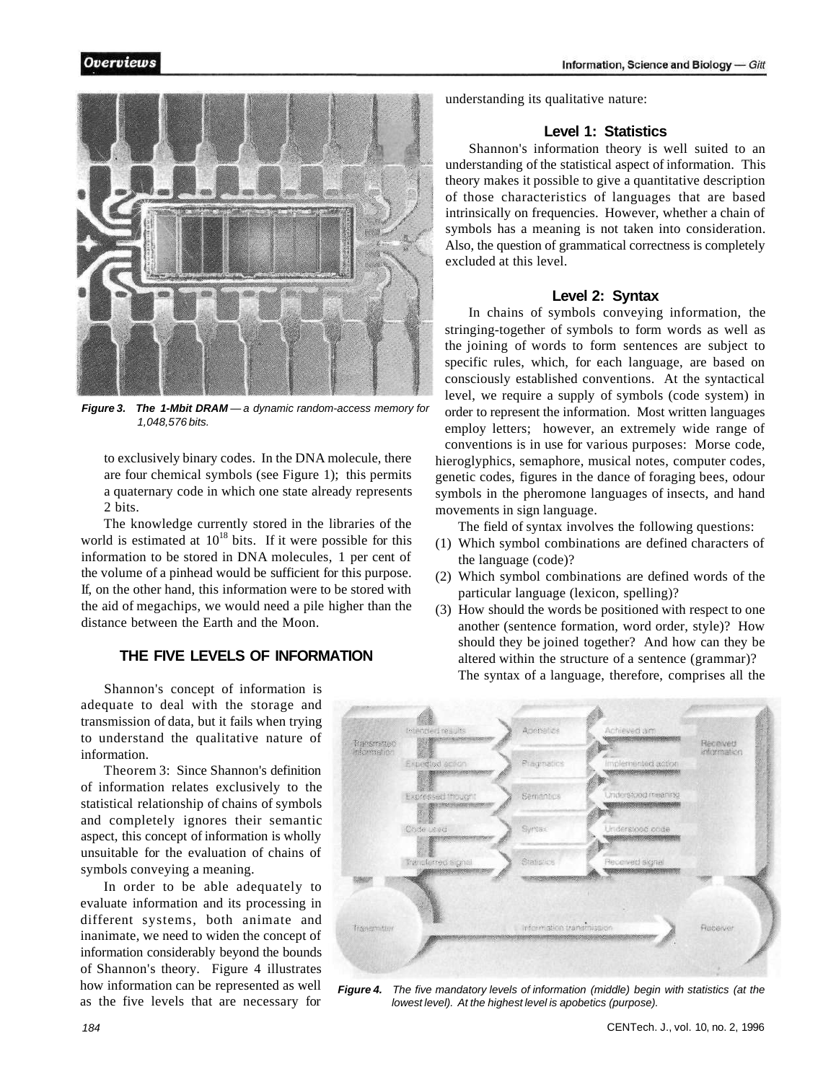

**Figure 3. The 1-Mbit DRAM** — a dynamic random-access memory for 1,048,576 bits.

to exclusively binary codes. In the DNA molecule, there are four chemical symbols (see Figure 1); this permits a quaternary code in which one state already represents 2 bits.

The knowledge currently stored in the libraries of the world is estimated at  $10^{18}$  bits. If it were possible for this information to be stored in DNA molecules, 1 per cent of the volume of a pinhead would be sufficient for this purpose. If, on the other hand, this information were to be stored with the aid of megachips, we would need a pile higher than the distance between the Earth and the Moon.

# **THE FIVE LEVELS OF INFORMATION**

Shannon's concept of information is adequate to deal with the storage and transmission of data, but it fails when trying to understand the qualitative nature of information.

Theorem 3: Since Shannon's definition of information relates exclusively to the statistical relationship of chains of symbols and completely ignores their semantic aspect, this concept of information is wholly unsuitable for the evaluation of chains of symbols conveying a meaning.

In order to be able adequately to evaluate information and its processing in different systems, both animate and inanimate, we need to widen the concept of information considerably beyond the bounds of Shannon's theory. Figure 4 illustrates how information can be represented as well as the five levels that are necessary for understanding its qualitative nature:

## **Level 1: Statistics**

Shannon's information theory is well suited to an understanding of the statistical aspect of information. This theory makes it possible to give a quantitative description of those characteristics of languages that are based intrinsically on frequencies. However, whether a chain of symbols has a meaning is not taken into consideration. Also, the question of grammatical correctness is completely excluded at this level.

#### **Level 2: Syntax**

In chains of symbols conveying information, the stringing-together of symbols to form words as well as the joining of words to form sentences are subject to specific rules, which, for each language, are based on consciously established conventions. At the syntactical level, we require a supply of symbols (code system) in order to represent the information. Most written languages employ letters; however, an extremely wide range of conventions is in use for various purposes: Morse code, hieroglyphics, semaphore, musical notes, computer codes, genetic codes, figures in the dance of foraging bees, odour symbols in the pheromone languages of insects, and hand movements in sign language.

The field of syntax involves the following questions:

- (1) Which symbol combinations are defined characters of the language (code)?
- (2) Which symbol combinations are defined words of the particular language (lexicon, spelling)?
- (3) How should the words be positioned with respect to one another (sentence formation, word order, style)? How should they be joined together? And how can they be altered within the structure of a sentence (grammar)? The syntax of a language, therefore, comprises all the



**Figure 4.** The five mandatory levels of information (middle) begin with statistics (at the lowest level). At the highest level is apobetics (purpose).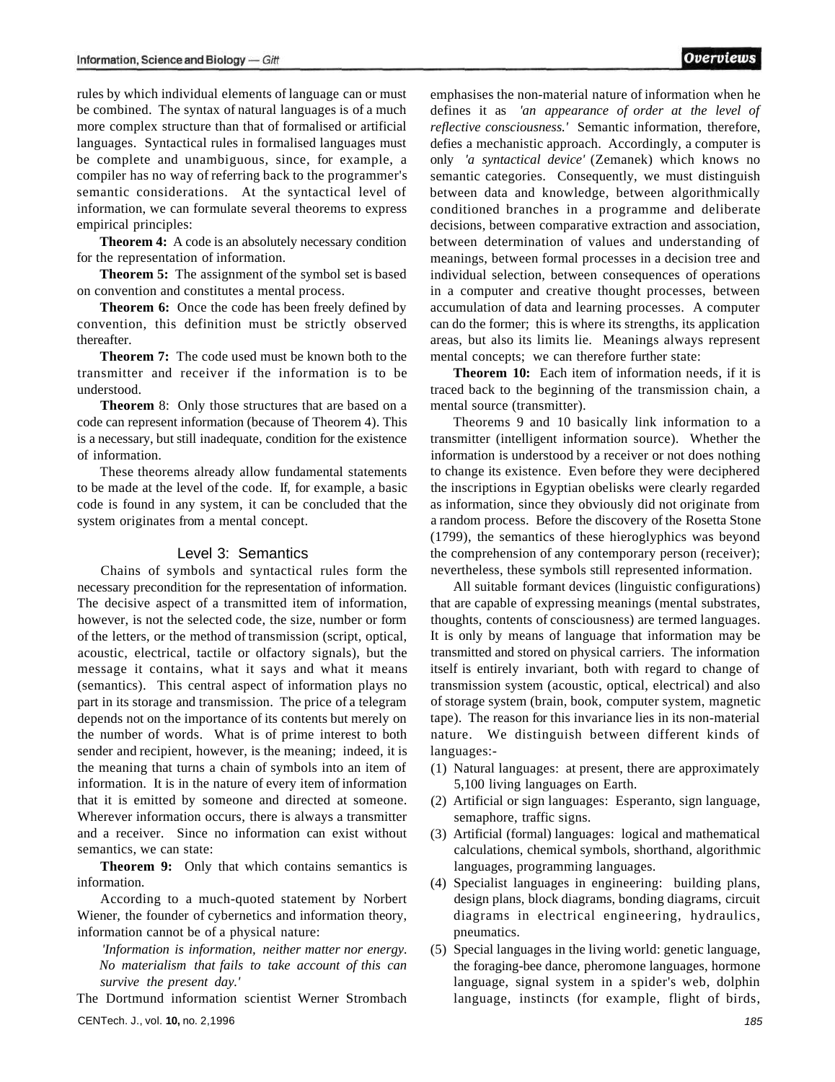rules by which individual elements of language can or must be combined. The syntax of natural languages is of a much more complex structure than that of formalised or artificial languages. Syntactical rules in formalised languages must be complete and unambiguous, since, for example, a compiler has no way of referring back to the programmer's semantic considerations. At the syntactical level of information, we can formulate several theorems to express empirical principles:

**Theorem 4:** A code is an absolutely necessary condition for the representation of information.

**Theorem 5:** The assignment of the symbol set is based on convention and constitutes a mental process.

**Theorem 6:** Once the code has been freely defined by convention, this definition must be strictly observed thereafter.

**Theorem 7:** The code used must be known both to the transmitter and receiver if the information is to be understood.

**Theorem** 8: Only those structures that are based on a code can represent information (because of Theorem 4). This is a necessary, but still inadequate, condition for the existence of information.

These theorems already allow fundamental statements to be made at the level of the code. If, for example, a basic code is found in any system, it can be concluded that the system originates from a mental concept.

#### Level 3: Semantics

Chains of symbols and syntactical rules form the necessary precondition for the representation of information. The decisive aspect of a transmitted item of information, however, is not the selected code, the size, number or form of the letters, or the method of transmission (script, optical, acoustic, electrical, tactile or olfactory signals), but the message it contains, what it says and what it means (semantics). This central aspect of information plays no part in its storage and transmission. The price of a telegram depends not on the importance of its contents but merely on the number of words. What is of prime interest to both sender and recipient, however, is the meaning; indeed, it is the meaning that turns a chain of symbols into an item of information. It is in the nature of every item of information that it is emitted by someone and directed at someone. Wherever information occurs, there is always a transmitter and a receiver. Since no information can exist without semantics, we can state:

**Theorem 9:** Only that which contains semantics is information.

According to a much-quoted statement by Norbert Wiener, the founder of cybernetics and information theory, information cannot be of a physical nature:

*'Information is information, neither matter nor energy. No materialism that fails to take account of this can survive the present day.'* 

The Dortmund information scientist Werner Strombach CENTech. J., vol. **10,** no. 2,1996

emphasises the non-material nature of information when he defines it as *'an appearance of order at the level of reflective consciousness.'* Semantic information, therefore, defies a mechanistic approach. Accordingly, a computer is only *'a syntactical device'* (Zemanek) which knows no semantic categories. Consequently, we must distinguish between data and knowledge, between algorithmically conditioned branches in a programme and deliberate decisions, between comparative extraction and association, between determination of values and understanding of meanings, between formal processes in a decision tree and individual selection, between consequences of operations in a computer and creative thought processes, between accumulation of data and learning processes. A computer can do the former; this is where its strengths, its application areas, but also its limits lie. Meanings always represent mental concepts; we can therefore further state:

**Theorem 10:** Each item of information needs, if it is traced back to the beginning of the transmission chain, a mental source (transmitter).

Theorems 9 and 10 basically link information to a transmitter (intelligent information source). Whether the information is understood by a receiver or not does nothing to change its existence. Even before they were deciphered the inscriptions in Egyptian obelisks were clearly regarded as information, since they obviously did not originate from a random process. Before the discovery of the Rosetta Stone (1799), the semantics of these hieroglyphics was beyond the comprehension of any contemporary person (receiver); nevertheless, these symbols still represented information.

All suitable formant devices (linguistic configurations) that are capable of expressing meanings (mental substrates, thoughts, contents of consciousness) are termed languages. It is only by means of language that information may be transmitted and stored on physical carriers. The information itself is entirely invariant, both with regard to change of transmission system (acoustic, optical, electrical) and also of storage system (brain, book, computer system, magnetic tape). The reason for this invariance lies in its non-material nature. We distinguish between different kinds of languages:-

- (1) Natural languages: at present, there are approximately 5,100 living languages on Earth.
- (2) Artificial or sign languages: Esperanto, sign language, semaphore, traffic signs.
- (3) Artificial (formal) languages: logical and mathematical calculations, chemical symbols, shorthand, algorithmic languages, programming languages.
- (4) Specialist languages in engineering: building plans, design plans, block diagrams, bonding diagrams, circuit diagrams in electrical engineering, hydraulics, pneumatics.
- (5) Special languages in the living world: genetic language, the foraging-bee dance, pheromone languages, hormone language, signal system in a spider's web, dolphin language, instincts (for example, flight of birds,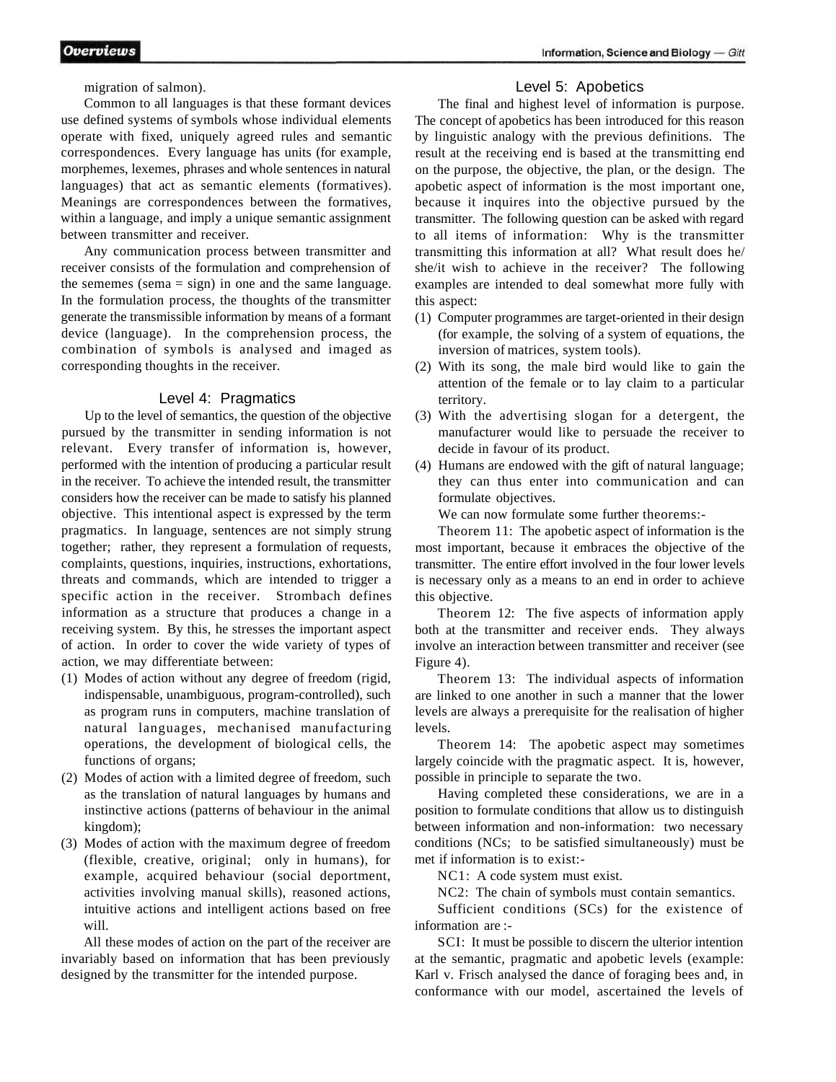migration of salmon).

Common to all languages is that these formant devices use defined systems of symbols whose individual elements operate with fixed, uniquely agreed rules and semantic correspondences. Every language has units (for example, morphemes, lexemes, phrases and whole sentences in natural languages) that act as semantic elements (formatives). Meanings are correspondences between the formatives, within a language, and imply a unique semantic assignment between transmitter and receiver.

Any communication process between transmitter and receiver consists of the formulation and comprehension of the sememes (sema = sign) in one and the same language. In the formulation process, the thoughts of the transmitter generate the transmissible information by means of a formant device (language). In the comprehension process, the combination of symbols is analysed and imaged as corresponding thoughts in the receiver.

## Level 4: Pragmatics

Up to the level of semantics, the question of the objective pursued by the transmitter in sending information is not relevant. Every transfer of information is, however, performed with the intention of producing a particular result in the receiver. To achieve the intended result, the transmitter considers how the receiver can be made to satisfy his planned objective. This intentional aspect is expressed by the term pragmatics. In language, sentences are not simply strung together; rather, they represent a formulation of requests, complaints, questions, inquiries, instructions, exhortations, threats and commands, which are intended to trigger a specific action in the receiver. Strombach defines information as a structure that produces a change in a receiving system. By this, he stresses the important aspect of action. In order to cover the wide variety of types of action, we may differentiate between:

- (1) Modes of action without any degree of freedom (rigid, indispensable, unambiguous, program-controlled), such as program runs in computers, machine translation of natural languages, mechanised manufacturing operations, the development of biological cells, the functions of organs;
- (2) Modes of action with a limited degree of freedom, such as the translation of natural languages by humans and instinctive actions (patterns of behaviour in the animal kingdom);
- (3) Modes of action with the maximum degree of freedom (flexible, creative, original; only in humans), for example, acquired behaviour (social deportment, activities involving manual skills), reasoned actions, intuitive actions and intelligent actions based on free will.

All these modes of action on the part of the receiver are invariably based on information that has been previously designed by the transmitter for the intended purpose.

#### Level 5: Apobetics

The final and highest level of information is purpose. The concept of apobetics has been introduced for this reason by linguistic analogy with the previous definitions. The result at the receiving end is based at the transmitting end on the purpose, the objective, the plan, or the design. The apobetic aspect of information is the most important one, because it inquires into the objective pursued by the transmitter. The following question can be asked with regard to all items of information: Why is the transmitter transmitting this information at all? What result does he/ she/it wish to achieve in the receiver? The following examples are intended to deal somewhat more fully with this aspect:

- (1) Computer programmes are target-oriented in their design (for example, the solving of a system of equations, the inversion of matrices, system tools).
- (2) With its song, the male bird would like to gain the attention of the female or to lay claim to a particular territory.
- (3) With the advertising slogan for a detergent, the manufacturer would like to persuade the receiver to decide in favour of its product.
- (4) Humans are endowed with the gift of natural language; they can thus enter into communication and can formulate objectives.

We can now formulate some further theorems:-

Theorem 11: The apobetic aspect of information is the most important, because it embraces the objective of the transmitter. The entire effort involved in the four lower levels is necessary only as a means to an end in order to achieve this objective.

Theorem 12: The five aspects of information apply both at the transmitter and receiver ends. They always involve an interaction between transmitter and receiver (see Figure 4).

Theorem 13: The individual aspects of information are linked to one another in such a manner that the lower levels are always a prerequisite for the realisation of higher levels.

Theorem 14: The apobetic aspect may sometimes largely coincide with the pragmatic aspect. It is, however, possible in principle to separate the two.

Having completed these considerations, we are in a position to formulate conditions that allow us to distinguish between information and non-information: two necessary conditions (NCs; to be satisfied simultaneously) must be met if information is to exist:-

NC1: A code system must exist.

NC2: The chain of symbols must contain semantics.

Sufficient conditions (SCs) for the existence of information are :-

SCI: It must be possible to discern the ulterior intention at the semantic, pragmatic and apobetic levels (example: Karl v. Frisch analysed the dance of foraging bees and, in conformance with our model, ascertained the levels of